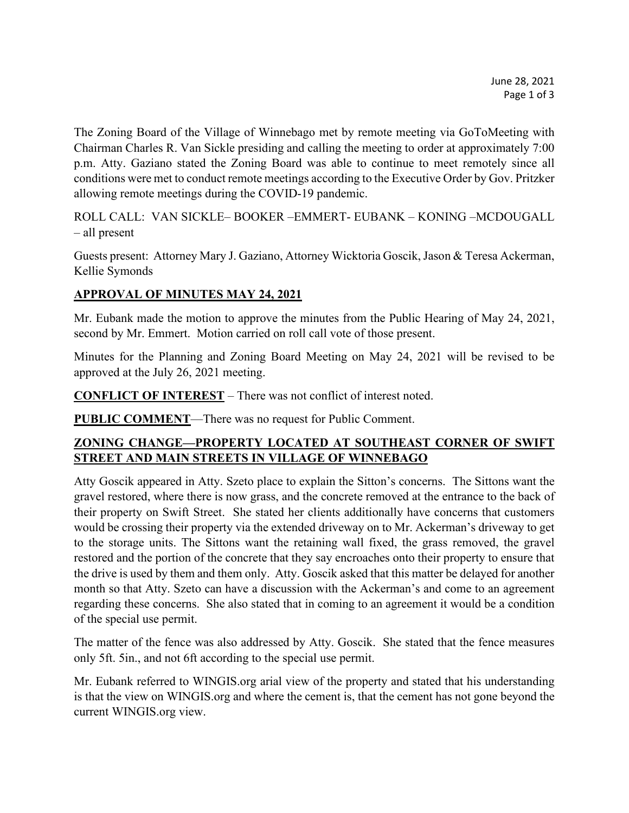The Zoning Board of the Village of Winnebago met by remote meeting via GoToMeeting with Chairman Charles R. Van Sickle presiding and calling the meeting to order at approximately 7:00 p.m. Atty. Gaziano stated the Zoning Board was able to continue to meet remotely since all conditions were met to conduct remote meetings according to the Executive Order by Gov. Pritzker allowing remote meetings during the COVID-19 pandemic.

ROLL CALL: VAN SICKLE– BOOKER –EMMERT- EUBANK – KONING –MCDOUGALL – all present

Guests present: Attorney Mary J. Gaziano, Attorney Wicktoria Goscik, Jason & Teresa Ackerman, Kellie Symonds

## **APPROVAL OF MINUTES MAY 24, 2021**

Mr. Eubank made the motion to approve the minutes from the Public Hearing of May 24, 2021, second by Mr. Emmert. Motion carried on roll call vote of those present.

Minutes for the Planning and Zoning Board Meeting on May 24, 2021 will be revised to be approved at the July 26, 2021 meeting.

**CONFLICT OF INTEREST** – There was not conflict of interest noted.

**PUBLIC COMMENT**—There was no request for Public Comment.

## **ZONING CHANGE—PROPERTY LOCATED AT SOUTHEAST CORNER OF SWIFT STREET AND MAIN STREETS IN VILLAGE OF WINNEBAGO**

Atty Goscik appeared in Atty. Szeto place to explain the Sitton's concerns. The Sittons want the gravel restored, where there is now grass, and the concrete removed at the entrance to the back of their property on Swift Street. She stated her clients additionally have concerns that customers would be crossing their property via the extended driveway on to Mr. Ackerman's driveway to get to the storage units. The Sittons want the retaining wall fixed, the grass removed, the gravel restored and the portion of the concrete that they say encroaches onto their property to ensure that the drive is used by them and them only. Atty. Goscik asked that this matter be delayed for another month so that Atty. Szeto can have a discussion with the Ackerman's and come to an agreement regarding these concerns. She also stated that in coming to an agreement it would be a condition of the special use permit.

The matter of the fence was also addressed by Atty. Goscik. She stated that the fence measures only 5ft. 5in., and not 6ft according to the special use permit.

Mr. Eubank referred to WINGIS.org arial view of the property and stated that his understanding is that the view on WINGIS.org and where the cement is, that the cement has not gone beyond the current WINGIS.org view.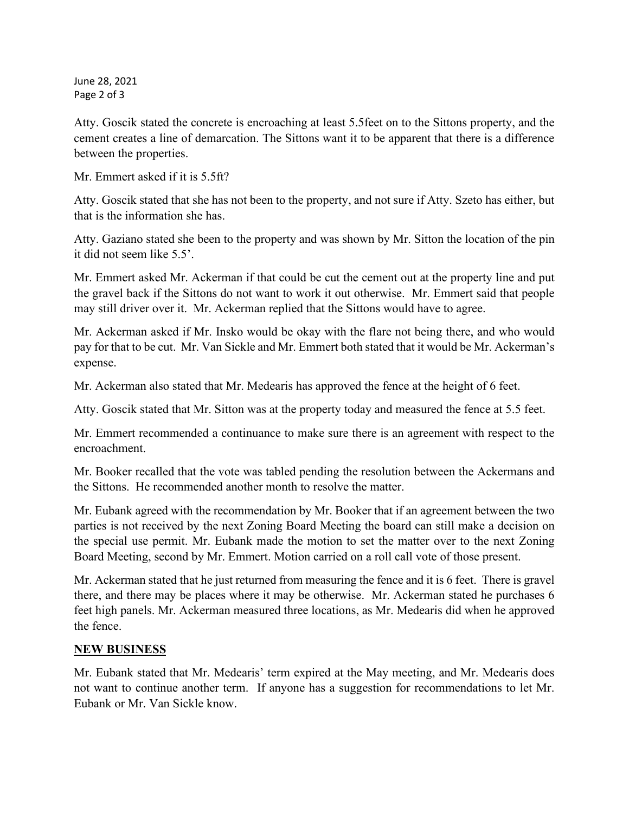June 28, 2021 Page 2 of 3

Atty. Goscik stated the concrete is encroaching at least 5.5feet on to the Sittons property, and the cement creates a line of demarcation. The Sittons want it to be apparent that there is a difference between the properties.

Mr. Emmert asked if it is 5.5ft?

Atty. Goscik stated that she has not been to the property, and not sure if Atty. Szeto has either, but that is the information she has.

Atty. Gaziano stated she been to the property and was shown by Mr. Sitton the location of the pin it did not seem like 5.5'.

Mr. Emmert asked Mr. Ackerman if that could be cut the cement out at the property line and put the gravel back if the Sittons do not want to work it out otherwise. Mr. Emmert said that people may still driver over it. Mr. Ackerman replied that the Sittons would have to agree.

Mr. Ackerman asked if Mr. Insko would be okay with the flare not being there, and who would pay for that to be cut. Mr. Van Sickle and Mr. Emmert both stated that it would be Mr. Ackerman's expense.

Mr. Ackerman also stated that Mr. Medearis has approved the fence at the height of 6 feet.

Atty. Goscik stated that Mr. Sitton was at the property today and measured the fence at 5.5 feet.

Mr. Emmert recommended a continuance to make sure there is an agreement with respect to the encroachment.

Mr. Booker recalled that the vote was tabled pending the resolution between the Ackermans and the Sittons. He recommended another month to resolve the matter.

Mr. Eubank agreed with the recommendation by Mr. Booker that if an agreement between the two parties is not received by the next Zoning Board Meeting the board can still make a decision on the special use permit. Mr. Eubank made the motion to set the matter over to the next Zoning Board Meeting, second by Mr. Emmert. Motion carried on a roll call vote of those present.

Mr. Ackerman stated that he just returned from measuring the fence and it is 6 feet. There is gravel there, and there may be places where it may be otherwise. Mr. Ackerman stated he purchases 6 feet high panels. Mr. Ackerman measured three locations, as Mr. Medearis did when he approved the fence.

## **NEW BUSINESS**

Mr. Eubank stated that Mr. Medearis' term expired at the May meeting, and Mr. Medearis does not want to continue another term. If anyone has a suggestion for recommendations to let Mr. Eubank or Mr. Van Sickle know.